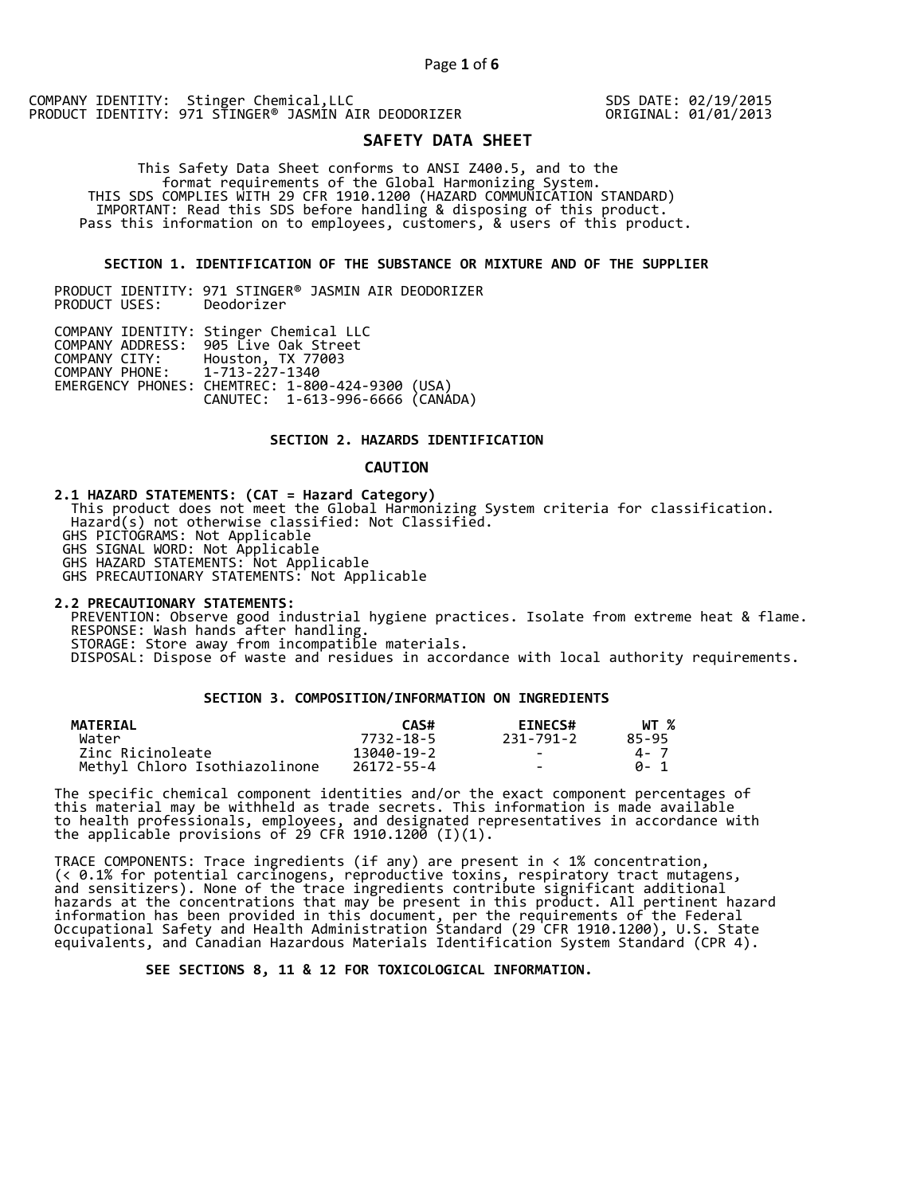SDS DATE: 02/19/2015 ORIGINAL: 01/01/2013

# **SAFETY DATA SHEET**

 This Safety Data Sheet conforms to ANSI Z400.5, and to the format requirements of the Global Harmonizing System. THIS SDS COMPLIES WITH 29 CFR 1910.1200 (HAZARD COMMUNICATION STANDARD) IMPORTANT: Read this SDS before handling & disposing of this product. Pass this information on to employees, customers, & users of this product.

## **SECTION 1. IDENTIFICATION OF THE SUBSTANCE OR MIXTURE AND OF THE SUPPLIER**

PRODUCT IDENTITY: 971 STINGER® JASMIN AIR DEODORIZER PRODUCT USES:

|                               | COMPANY IDENTITY: Stinger Chemical LLC           |  |
|-------------------------------|--------------------------------------------------|--|
|                               | COMPANY ADDRESS: 905 Live Oak Street             |  |
| COMPANY CITY:                 | Houston, TX 77003                                |  |
| COMPANY PHONE: 1-713-227-1340 |                                                  |  |
|                               | EMERGENCY PHONES: CHEMTREC: 1-800-424-9300 (USA) |  |
|                               | CANUTEC: 1-613-996-6666 (CANADA)                 |  |

## **SECTION 2. HAZARDS IDENTIFICATION**

#### **CAUTION**

**2.1 HAZARD STATEMENTS: (CAT = Hazard Category)** This product does not meet the Global Harmonizing System criteria for classification. Hazard(s) not otherwise classified: Not Classified. GHS PICTOGRAMS: Not Applicable GHS SIGNAL WORD: Not Applicable GHS HAZARD STATEMENTS: Not Applicable GHS PRECAUTIONARY STATEMENTS: Not Applicable

**2.2 PRECAUTIONARY STATEMENTS:**  PREVENTION: Observe good industrial hygiene practices. Isolate from extreme heat & flame. RESPONSE: Wash hands after handling. STORAGE: Store away from incompatible materials. DISPOSAL: Dispose of waste and residues in accordance with local authority requirements.

# **SECTION 3. COMPOSITION/INFORMATION ON INGREDIENTS**

| <b>MATERIAL</b>               | CAS#       | <b>EINECS#</b> | WT %  |
|-------------------------------|------------|----------------|-------|
| Water                         | 7732-18-5  | 231-791-2      | 85-95 |
| Zinc Ricinoleate              | 13040-19-2 | $\sim$         | 4 - 7 |
| Methyl Chloro Isothiazolinone | 26172-55-4 | $\sim$         | A- 1  |

The specific chemical component identities and/or the exact component percentages of this material may be withheld as trade secrets. This information is made available to health professionals, employees, and designated representatives in accordance with the applicable provisions of 29 CFR 1910.1200̄ (I)(1).  $\overline{\phantom{a}}$ 

TRACE COMPONENTS: Trace ingredients (if any) are present in < 1% concentration, (< 0.1% for potential carcinogens, reproductive toxins, respiratory tract mutagens, and sensitizers). None of the trace ingredients contribute significant additional hazards at the concentrations that may be present in this product. All pertinent hazard information has been provided in this document, per the requirements of the Federal Occupational Safety and Health Administration Standard (29 CFR 1910.1200), U.S. State equivalents, and Canadian Hazardous Materials Identification System Standard (CPR 4).

 **SEE SECTIONS 8, 11 & 12 FOR TOXICOLOGICAL INFORMATION.**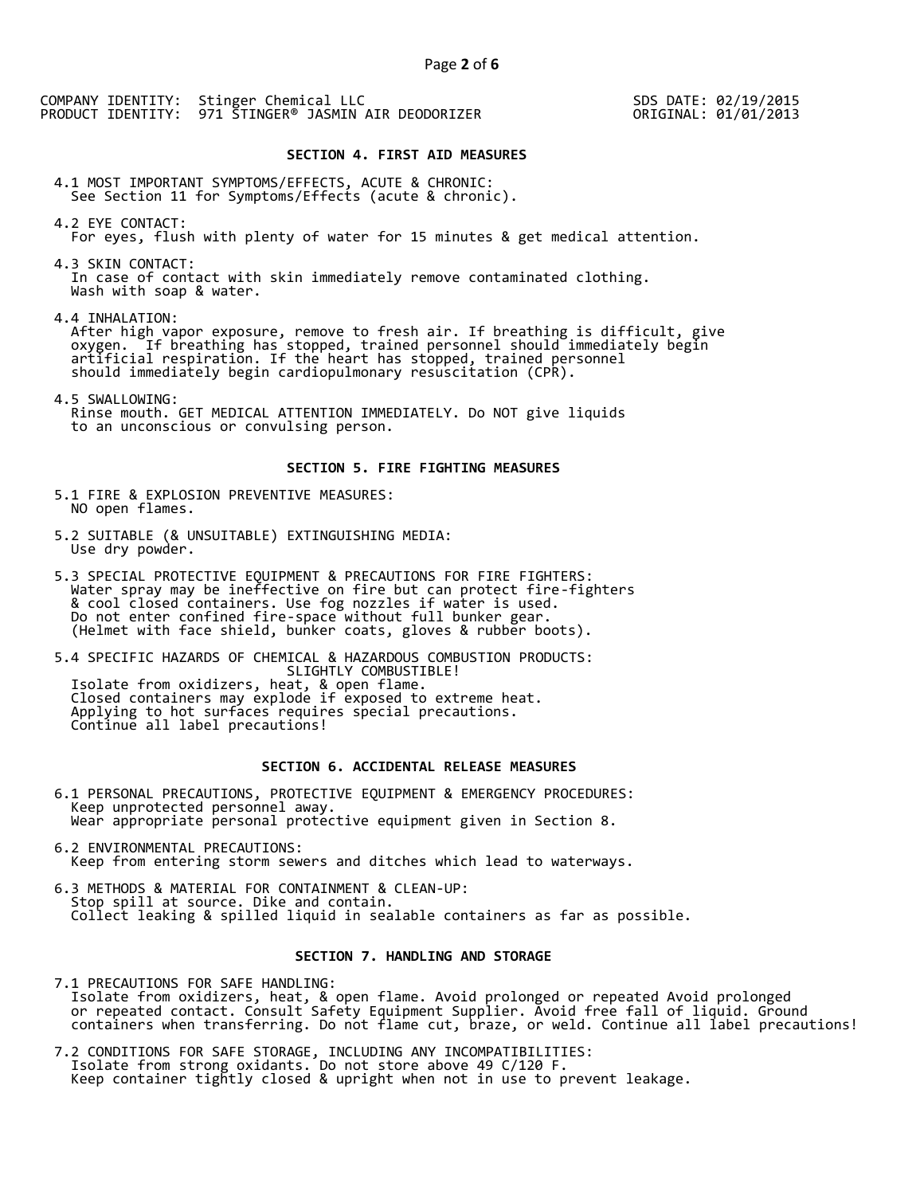SDS DATE: 02/19/2015 ORIGINAL: 01/01/2013

#### **SECTION 4. FIRST AID MEASURES**

4.1 MOST IMPORTANT SYMPTOMS/EFFECTS, ACUTE & CHRONIC: See Section 11 for Symptoms/Effects (acute & chronic).

4.2 EYE CONTACT: For eyes, flush with plenty of water for 15 minutes & get medical attention.

4.3 SKIN CONTACT: In case of contact with skin immediately remove contaminated clothing. Wash with soap & water.

4.4 INHALATION:

 After high vapor exposure, remove to fresh air. If breathing is difficult, give oxygen. If breathing has stopped, trained personnel should immediately begin artificial respiration. If the heart has stopped, trained personnel should immediately begin cardiopulmonary resuscitation (CPR).

4.5 SWALLOWING: Rinse mouth. GET MEDICAL ATTENTION IMMEDIATELY. Do NOT give liquids to an unconscious or convulsing person.

### **SECTION 5. FIRE FIGHTING MEASURES**

5.1 FIRE & EXPLOSION PREVENTIVE MEASURES: NO open flames.

- 5.2 SUITABLE (& UNSUITABLE) EXTINGUISHING MEDIA: Use dry powder.
- 5.3 SPECIAL PROTECTIVE EQUIPMENT & PRECAUTIONS FOR FIRE FIGHTERS: Water spray may be ineffective on fire but can protect fire-fighters & cool closed containers. Use fog nozzles if water is used. Do not enter confined fire-space without full bunker gear. (Helmet with face shield, bunker coats, gloves & rubber boots).

5.4 SPECIFIC HAZARDS OF CHEMICAL & HAZARDOUS COMBUSTION PRODUCTS: SLIGHTLY COMBUSTIBLE! Isolate from oxidizers, heat, & open flame. Closed containers may explode if exposed to extreme heat. Applying to hot surfaces requires special precautions. Continue all label precautions!

# **SECTION 6. ACCIDENTAL RELEASE MEASURES**

- 6.1 PERSONAL PRECAUTIONS, PROTECTIVE EQUIPMENT & EMERGENCY PROCEDURES: Keep unprotected personnel away. Wear appropriate personal protective equipment given in Section 8.
- 6.2 ENVIRONMENTAL PRECAUTIONS: Keep from entering storm sewers and ditches which lead to waterways.
- 6.3 METHODS & MATERIAL FOR CONTAINMENT & CLEAN-UP: Stop spill at source. Dike and contain. Collect leaking & spilled liquid in sealable containers as far as possible.

## **SECTION 7. HANDLING AND STORAGE**

7.1 PRECAUTIONS FOR SAFE HANDLING: Isolate from oxidizers, heat, & open flame. Avoid prolonged or repeated Avoid prolonged or repeated contact. Consult Safety Equipment Supplier. Avoid free fall of liquid. Ground containers when transferring. Do not flame cut, braze, or weld. Continue all label precautions!

7.2 CONDITIONS FOR SAFE STORAGE, INCLUDING ANY INCOMPATIBILITIES: Isolate from strong oxidants. Do not store above 49 C/120 F. Keep container tightly closed & upright when not in use to prevent leakage.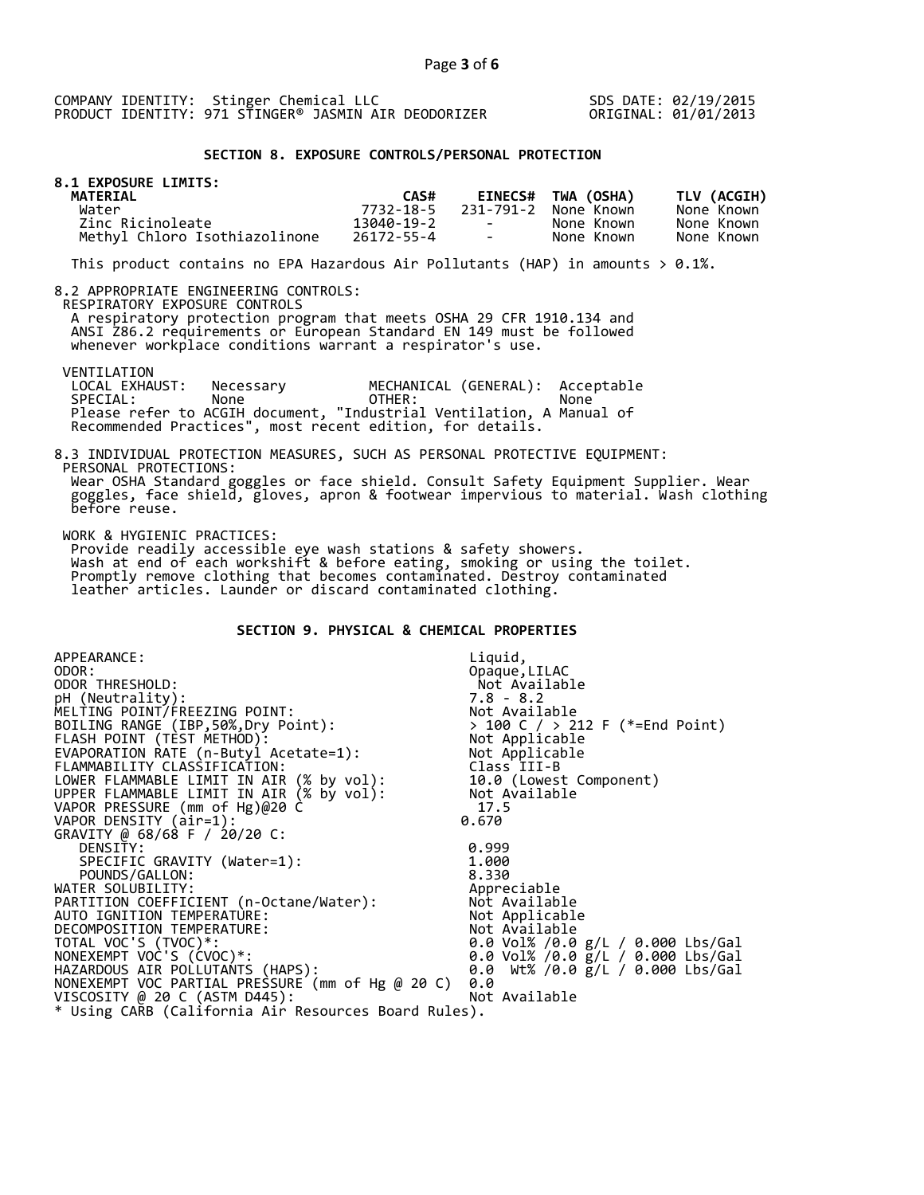SDS DATE: 02/19/2015 ORIGINAL: 01/01/2013

## **SECTION 8. EXPOSURE CONTROLS/PERSONAL PROTECTION**

| <b>8.1 EXPOSURE LIMITS:</b><br><b>MATERIAL</b> | CAS#       |                                   | <b>EINECS# TWA (OSHA)</b> | TLV (ACGIH) |
|------------------------------------------------|------------|-----------------------------------|---------------------------|-------------|
| Water                                          | 7732-18-5  |                                   | 231-791-2 None Known      | None Known  |
| Zinc Ricinoleate                               | 13040-19-2 | <b>Contract Contract Contract</b> | None Known                | None Known  |
| Methyl Chloro Isothiazolinone                  | 26172-55-4 | the control of the con-           | None Known                | None Known  |

This product contains no EPA Hazardous Air Pollutants (HAP) in amounts  $> 0.1\%$ .

#### 8.2 APPROPRIATE ENGINEERING CONTROLS:

RESPIRATORY EXPOSURE CONTROLS

 A respiratory protection program that meets OSHA 29 CFR 1910.134 and ANSI Z86.2 requirements or European Standard EN 149 must be followed whenever workplace conditions warrant a respirator's use.

VENTILATION<br>LOCAL EXHAUST:

LOCAL EXHAUST: Necessary MECHANICAL (GENERAL): Acceptable<br>SPECIAL: None OTHER: None SPECIAL: None OTHER: None Please refer to ACGIH document, "Industrial Ventilation, A Manual of Recommended Practices", most recent edition, for details.

#### 8.3 INDIVIDUAL PROTECTION MEASURES, SUCH AS PERSONAL PROTECTIVE EQUIPMENT: PERSONAL PROTECTIONS: Wear OSHA Standard goggles or face shield. Consult Safety Equipment Supplier. Wear goggles, face shield, gloves, apron & footwear impervious to material. Wash clothing before reuse.

WORK & HYGIENIC PRACTICES:

 Provide readily accessible eye wash stations & safety showers. Wash at end of each workshift & before eating, smoking or using the toilet. Promptly remove clothing that becomes contaminated. Destroy contaminated leather articles. Launder or discard contaminated clothing.

# **SECTION 9. PHYSICAL & CHEMICAL PROPERTIES**

| APPEARANCE:                                          | Liquid,                                                                            |
|------------------------------------------------------|------------------------------------------------------------------------------------|
| ODOR:                                                | Opaque, LILAC                                                                      |
| ODOR THRESHOLD:                                      | Not Available                                                                      |
| pH (Neutrality):                                     |                                                                                    |
| MELTING POINT/FREEZING POINT:                        |                                                                                    |
| BOILING RANGE (IBP, 50%, Dry Point):                 | > 100 C / > 212 F (*=End Point)                                                    |
| FLASH POINT (TEST METHOD):                           | 7.8 - 8.∠<br>Not Available<br>> 100 C / > 212<br>Not Applicable<br>''-- Applicable |
| EVAPORATION RATE (n-Butyl Acetate=1):                | Not Applicable                                                                     |
| FLAMMABILITY CLASSIFICATION:                         | Class III-B                                                                        |
| LOWER FLAMMABLE LIMIT IN AIR (% by vol):             | 10.0 (Lowest Component)                                                            |
| UPPER FLAMMABLE LIMIT IN AIR (% by vol):             | Not Available                                                                      |
| VAPOR PRESSURE (mm of Hg)@20 C                       | 17.5                                                                               |
| VAPOR DENSITY (air=1):                               | 0.670                                                                              |
| GRAVITY @ 68/68 F / 20/20 C:                         |                                                                                    |
| DENSITY:                                             | 0.999                                                                              |
| SPECIFIC GRAVITY (Water=1):                          | 1.000                                                                              |
| POUNDS/GALLON:                                       | 8.330                                                                              |
| WATER SOLUBILITY:                                    | Appreciable                                                                        |
| PARTITION COEFFICIENT (n-Octane/Water):              | Not Available                                                                      |
| AUTO IGNITION TEMPERATURE:                           | Not Applicable                                                                     |
| DECOMPOSITION TEMPERATURE:                           | Not Available                                                                      |
| TOTAL VOC'S (TVOC)*:                                 | 0.0 Vol% /0.0 g/L / 0.000 Lbs/Gal                                                  |
| NONEXEMPT VOC'S (CVOC)*:                             | 0.0 Vol% /0.0 $\bar{g}/L$ / 0.000 Lbs/Gal                                          |
| HAZARDOUS AIR POLLUTANTS (HAPS):                     | 0.0 Wt% /0.0 $g/L$ / 0.000 Lbs/Gal                                                 |
| NONEXEMPT VOC PARTIAL PRESSURE (mm of Hg @ 20 C)     | 0.0                                                                                |
| VISCOSITY @ 20 C (ASTM D445):                        | Not Available                                                                      |
| * Using CARB (California Air Resources Board Rules). |                                                                                    |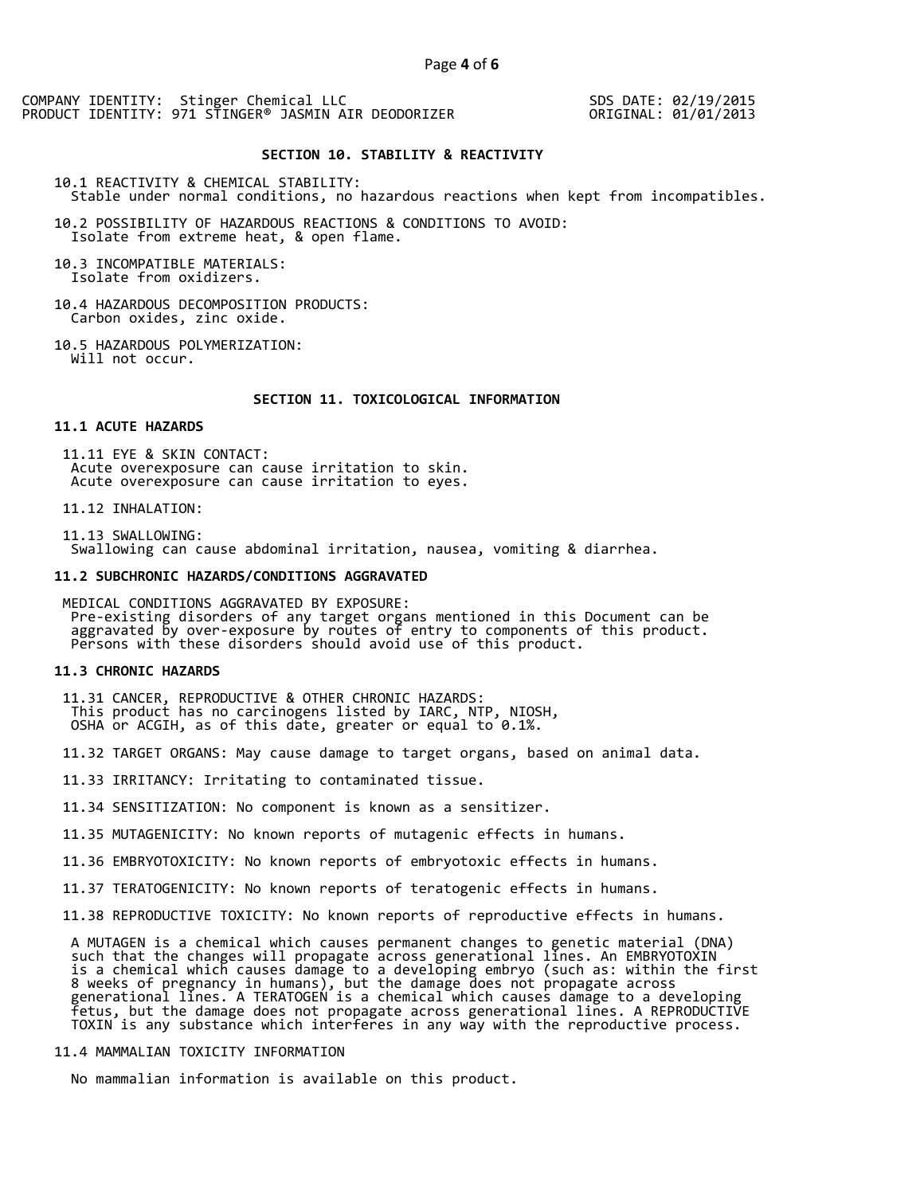SDS DATE: 02/19/2015 ORIGINAL: 01/01/2013

# **SECTION 10. STABILITY & REACTIVITY**

10.1 REACTIVITY & CHEMICAL STABILITY: Stable under normal conditions, no hazardous reactions when kept from incompatibles.

10.2 POSSIBILITY OF HAZARDOUS REACTIONS & CONDITIONS TO AVOID: Isolate from extreme heat, & open flame.

10.3 INCOMPATIBLE MATERIALS: Isolate from oxidizers.

10.4 HAZARDOUS DECOMPOSITION PRODUCTS: Carbon oxides, zinc oxide.

10.5 HAZARDOUS POLYMERIZATION: Will not occur.

#### **SECTION 11. TOXICOLOGICAL INFORMATION**

#### **11.1 ACUTE HAZARDS**

 11.11 EYE & SKIN CONTACT: Acute overexposure can cause irritation to skin. Acute overexposure can cause irritation to eyes.

11.12 INHALATION:

 11.13 SWALLOWING: Swallowing can cause abdominal irritation, nausea, vomiting & diarrhea.

#### **11.2 SUBCHRONIC HAZARDS/CONDITIONS AGGRAVATED**

 MEDICAL CONDITIONS AGGRAVATED BY EXPOSURE: Pre-existing disorders of any target organs mentioned in this Document can be aggravated by over-exposure by routes of entry to components of this product. Persons with these disorders should avoid use of this product.

#### **11.3 CHRONIC HAZARDS**

 11.31 CANCER, REPRODUCTIVE & OTHER CHRONIC HAZARDS: This product has no carcinogens listed by IARC, NTP, NIOSH, OSHA or ACGIH, as of this date, greater or equal to 0.1%.

11.32 TARGET ORGANS: May cause damage to target organs, based on animal data.

11.33 IRRITANCY: Irritating to contaminated tissue.

11.34 SENSITIZATION: No component is known as a sensitizer.

11.35 MUTAGENICITY: No known reports of mutagenic effects in humans.

11.36 EMBRYOTOXICITY: No known reports of embryotoxic effects in humans.

11.37 TERATOGENICITY: No known reports of teratogenic effects in humans.

11.38 REPRODUCTIVE TOXICITY: No known reports of reproductive effects in humans.

 A MUTAGEN is a chemical which causes permanent changes to genetic material (DNA) such that the changes will propagate across generational lines. An EMBRYOTOXIN is a chemical which causes damage to a developing embryo (such as: within the first 8 weeks of pregnancy in humans), but the damage does not propagate across generational lines. A TERATOGEN is a chemical which causes damage to a developing fetus, but the damage does not propagate across generational lines. A REPRODUCTIVE TOXIN is any substance which interferes in any way with the reproductive process.

# 11.4 MAMMALIAN TOXICITY INFORMATION

No mammalian information is available on this product.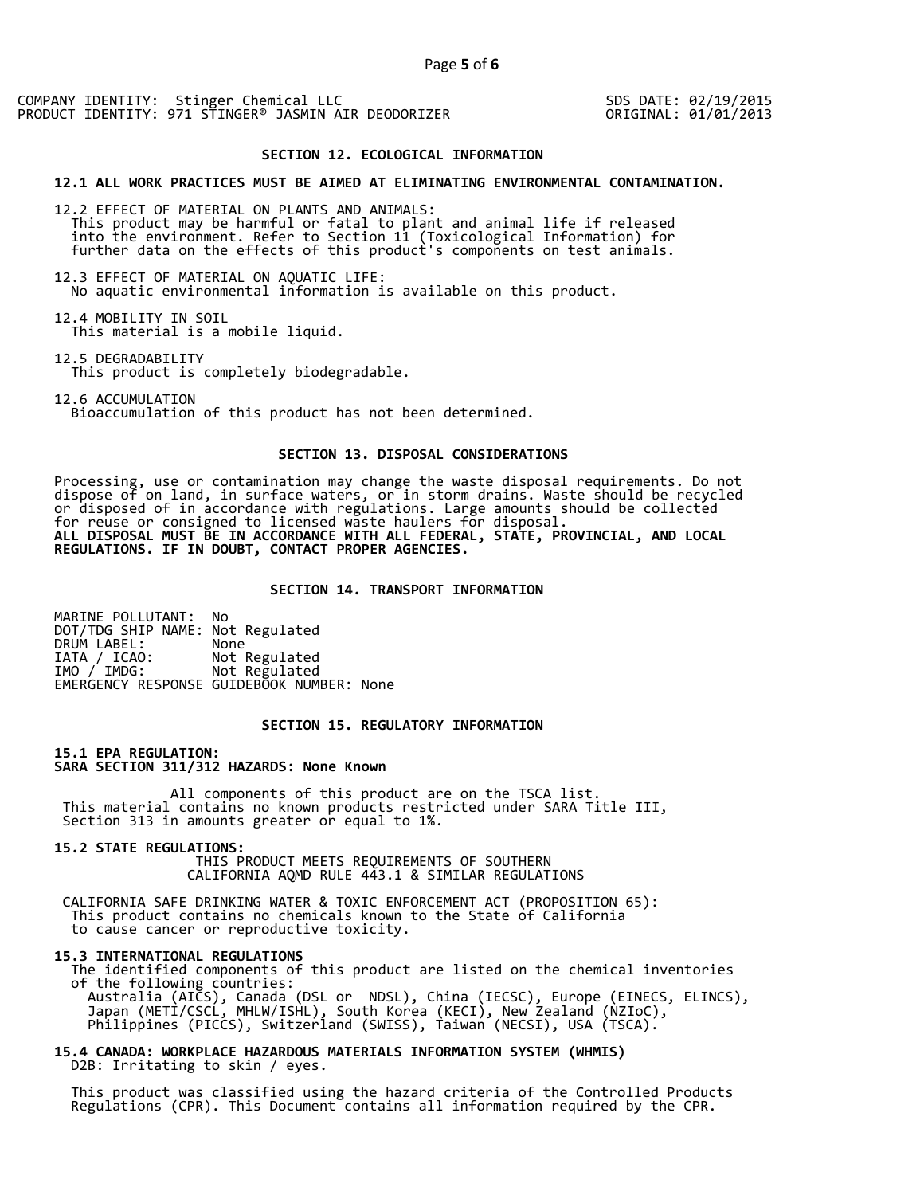SDS DATE: 02/19/2015 ORIGINAL: 01/01/2013

#### **SECTION 12. ECOLOGICAL INFORMATION**

#### **12.1 ALL WORK PRACTICES MUST BE AIMED AT ELIMINATING ENVIRONMENTAL CONTAMINATION.**

12.2 EFFECT OF MATERIAL ON PLANTS AND ANIMALS: This product may be harmful or fatal to plant and animal life if released into the environment. Refer to Section 11 (Toxicological Information) for further data on the effects of this product's components on test animals.

12.3 EFFECT OF MATERIAL ON AQUATIC LIFE: No aquatic environmental information is available on this product.

12.4 MOBILITY IN SOIL This material is a mobile liquid.

12.5 DEGRADABILITY This product is completely biodegradable.

12.6 ACCUMULATION

Bioaccumulation of this product has not been determined.

# **SECTION 13. DISPOSAL CONSIDERATIONS**

Processing, use or contamination may change the waste disposal requirements. Do not dispose of on land, in surface waters, or in storm drains. Waste should be recycled or disposed of in accordance with regulations. Large amounts should be collected for reuse or consigned to licensed waste haulers for disposal. **ALL DISPOSAL MUST BE IN ACCORDANCE WITH ALL FEDERAL, STATE, PROVINCIAL, AND LOCAL REGULATIONS. IF IN DOUBT, CONTACT PROPER AGENCIES.** 

### **SECTION 14. TRANSPORT INFORMATION**

MARINE POLLUTANT: No DOT/TDG SHIP NAME: Not Regulated DRUM LABEL:<br>IATA / ICAO: IATA / ICAO: Not Regulated<br>IMO / IMDG: Not Regulated Not Regulated EMERGENCY RESPONSE GUIDEBOOK NUMBER: None

## **SECTION 15. REGULATORY INFORMATION**

**15.1 EPA REGULATION: SARA SECTION 311/312 HAZARDS: None Known** 

All components of this product are on the TSCA list. This material contains no known products restricted under SARA Title III, Section 313 in amounts greater or equal to 1%.

**15.2 STATE REGULATIONS:**

 THIS PRODUCT MEETS REQUIREMENTS OF SOUTHERN CALIFORNIA AQMD RULE 443.1 & SIMILAR REGULATIONS

 CALIFORNIA SAFE DRINKING WATER & TOXIC ENFORCEMENT ACT (PROPOSITION 65): This product contains no chemicals known to the State of California to cause cancer or reproductive toxicity.

#### **15.3 INTERNATIONAL REGULATIONS**

 The identified components of this product are listed on the chemical inventories of the following countries: Australia (AICS), Canada (DSL or NDSL), China (IECSC), Europe (EINECS, ELINCS), Japan (METI/CSCL, MHLW/ISHL), South Korea (KECI), New Zealand (NZIoC), Philippines (PICCS), Switzerland (SWISS), Taiwan (NECSI), USA (TSCA).

**15.4 CANADA: WORKPLACE HAZARDOUS MATERIALS INFORMATION SYSTEM (WHMIS)**  D2B: Irritating to skin / eyes.

 This product was classified using the hazard criteria of the Controlled Products Regulations (CPR). This Document contains all information required by the CPR.